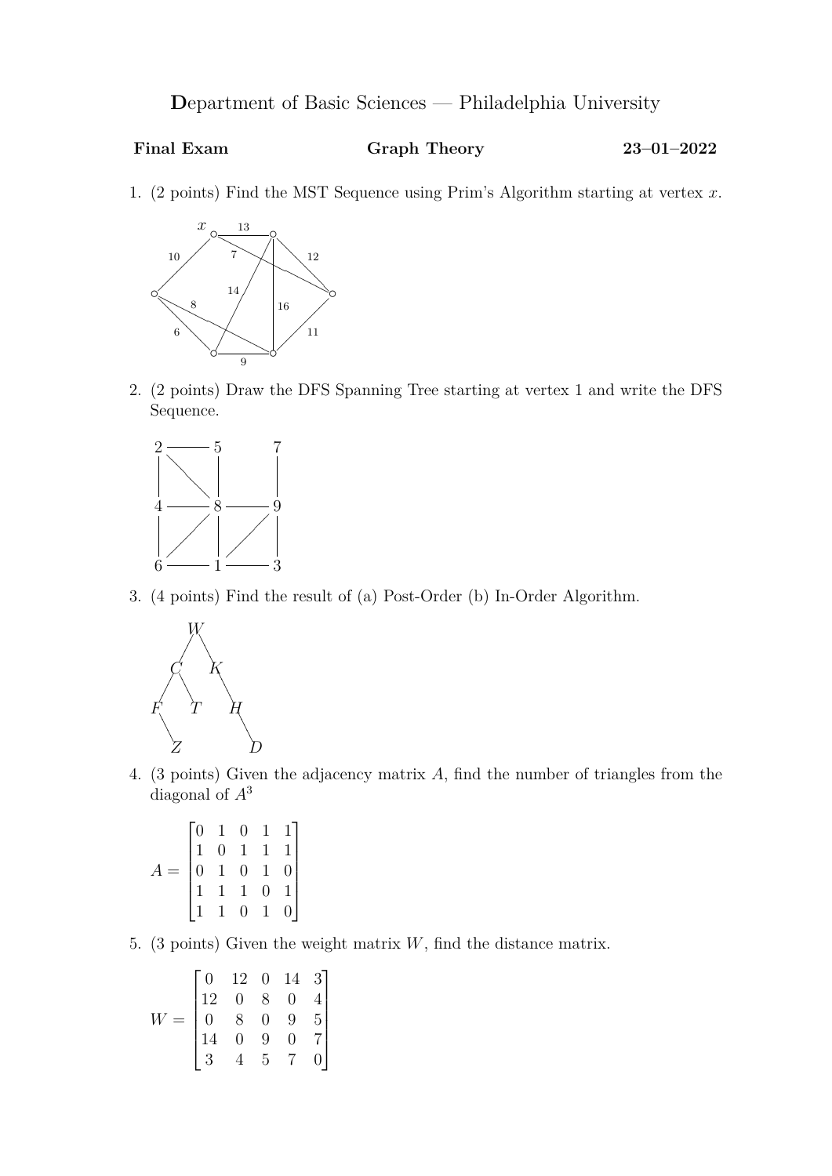**D**epartment of Basic Sciences — Philadelphia University

## **Final Exam Graph Theory 23–01–2022**

1. (2 points) Find the MST Sequence using Prim's Algorithm starting at vertex *x*.



2. (2 points) Draw the DFS Spanning Tree starting at vertex 1 and write the DFS Sequence.



3. (4 points) Find the result of (a) Post-Order (b) In-Order Algorithm.



4. (3 points) Given the adjacency matrix *A*, find the number of triangles from the diagonal of *A*<sup>3</sup>

$$
A = \begin{bmatrix} 0 & 1 & 0 & 1 & 1 \\ 1 & 0 & 1 & 1 & 1 \\ 0 & 1 & 0 & 1 & 0 \\ 1 & 1 & 1 & 0 & 1 \\ 1 & 1 & 0 & 1 & 0 \end{bmatrix}
$$

5. (3 points) Given the weight matrix *W*, find the distance matrix.

$$
W = \begin{bmatrix} 0 & 12 & 0 & 14 & 3 \\ 12 & 0 & 8 & 0 & 4 \\ 0 & 8 & 0 & 9 & 5 \\ 14 & 0 & 9 & 0 & 7 \\ 3 & 4 & 5 & 7 & 0 \end{bmatrix}
$$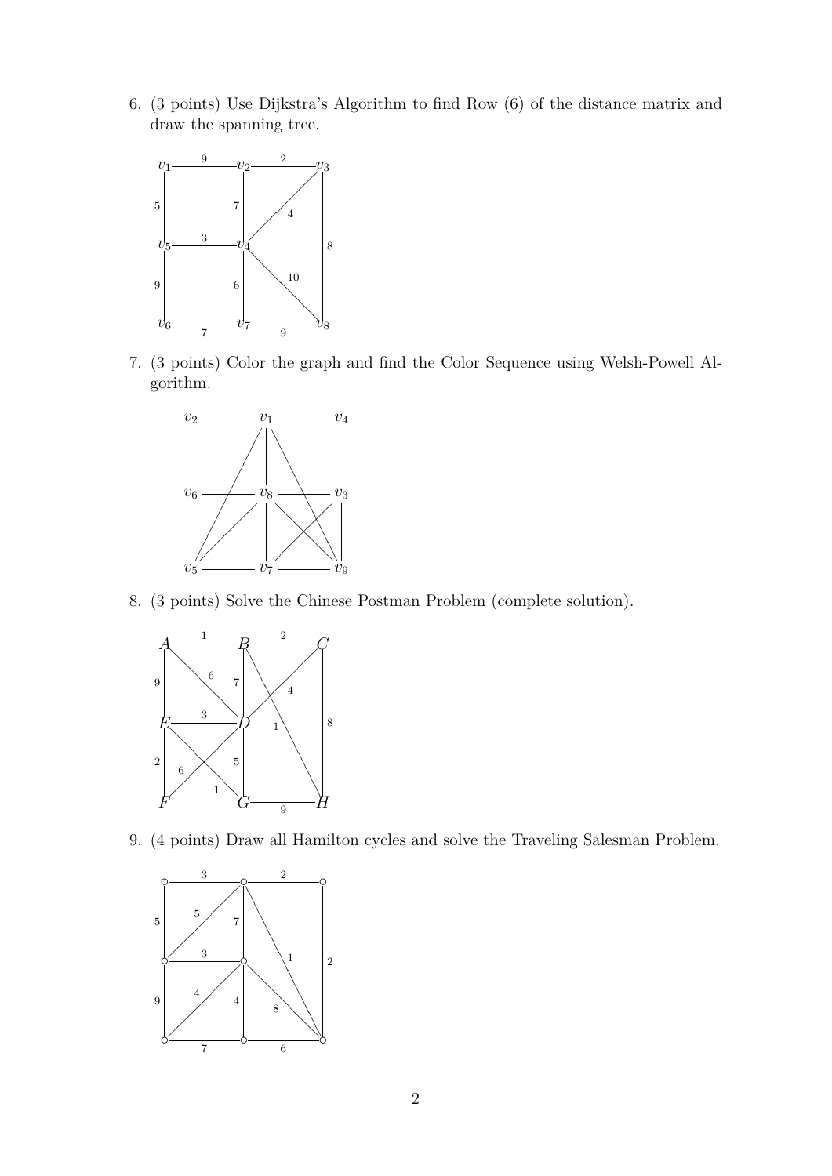6. (3 points) Use Dijkstra's Algorithm to find Row (6) of the distance matrix and draw the spanning tree.



7. (3 points) Color the graph and find the Color Sequence using Welsh-Powell Algorithm.



8. (3 points) Solve the Chinese Postman Problem (complete solution).



9. (4 points) Draw all Hamilton cycles and solve the Traveling Salesman Problem.